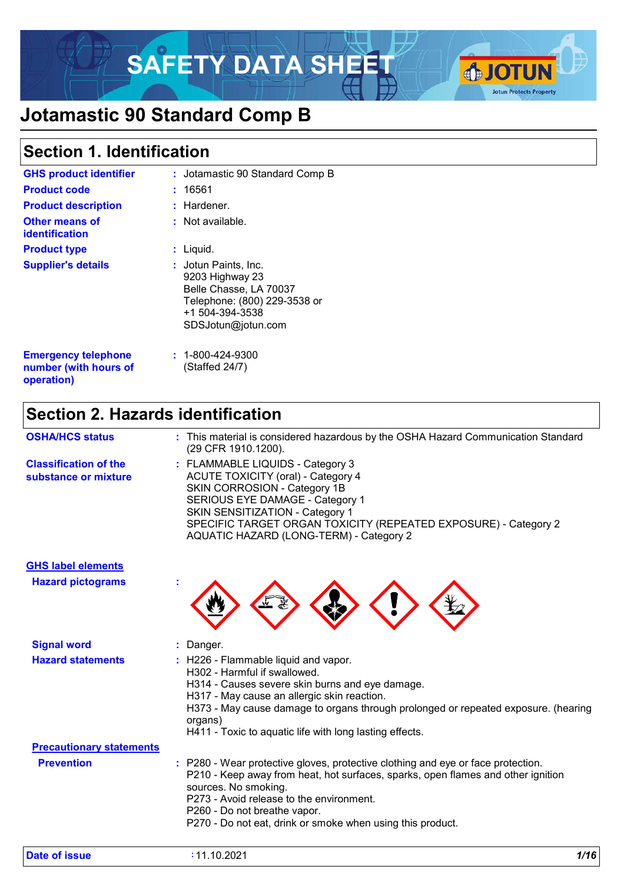# SAFETY DATA SHEET **& JOTUN**



### **Section 1. Identification**

| <b>GHS product identifier</b><br><b>Product code</b><br><b>Product description</b><br><b>Other means of</b> | : Jotamastic 90 Standard Comp B<br>: 16561<br>$:$ Hardener.<br>$:$ Not available.                                                          |
|-------------------------------------------------------------------------------------------------------------|--------------------------------------------------------------------------------------------------------------------------------------------|
| identification<br><b>Product type</b>                                                                       | : Liquid.                                                                                                                                  |
| <b>Supplier's details</b>                                                                                   | : Jotun Paints, Inc.<br>9203 Highway 23<br>Belle Chasse, LA 70037<br>Telephone: (800) 229-3538 or<br>+1 504-394-3538<br>SDSJotun@jotun.com |
| <b>Emergency telephone</b><br>number (with hours of<br>operation)                                           | $: 1 - 800 - 424 - 9300$<br>(Staffed 24/7)                                                                                                 |

### **Section 2. Hazards identification**

| <b>OSHA/HCS status</b>                               | : This material is considered hazardous by the OSHA Hazard Communication Standard<br>(29 CFR 1910.1200).                                                                                                                                                                                          |
|------------------------------------------------------|---------------------------------------------------------------------------------------------------------------------------------------------------------------------------------------------------------------------------------------------------------------------------------------------------|
| <b>Classification of the</b><br>substance or mixture | : FLAMMABLE LIQUIDS - Category 3<br>ACUTE TOXICITY (oral) - Category 4<br>SKIN CORROSION - Category 1B<br>SERIOUS EYE DAMAGE - Category 1<br><b>SKIN SENSITIZATION - Category 1</b><br>SPECIFIC TARGET ORGAN TOXICITY (REPEATED EXPOSURE) - Category 2<br>AQUATIC HAZARD (LONG-TERM) - Category 2 |

| FIX                                                                                                                                                                                                                                                                                                                                    |
|----------------------------------------------------------------------------------------------------------------------------------------------------------------------------------------------------------------------------------------------------------------------------------------------------------------------------------------|
| : Danger.                                                                                                                                                                                                                                                                                                                              |
| : H226 - Flammable liquid and vapor.<br>H302 - Harmful if swallowed.<br>H314 - Causes severe skin burns and eye damage.<br>H317 - May cause an allergic skin reaction.<br>H373 - May cause damage to organs through prolonged or repeated exposure. (hearing<br>organs)<br>H411 - Toxic to aquatic life with long lasting effects.     |
|                                                                                                                                                                                                                                                                                                                                        |
| : P280 - Wear protective gloves, protective clothing and eye or face protection.<br>P210 - Keep away from heat, hot surfaces, sparks, open flames and other ignition<br>sources. No smoking.<br>P273 - Avoid release to the environment.<br>P260 - Do not breathe vapor.<br>P270 - Do not eat, drink or smoke when using this product. |
|                                                                                                                                                                                                                                                                                                                                        |

**Jotun Protects Property**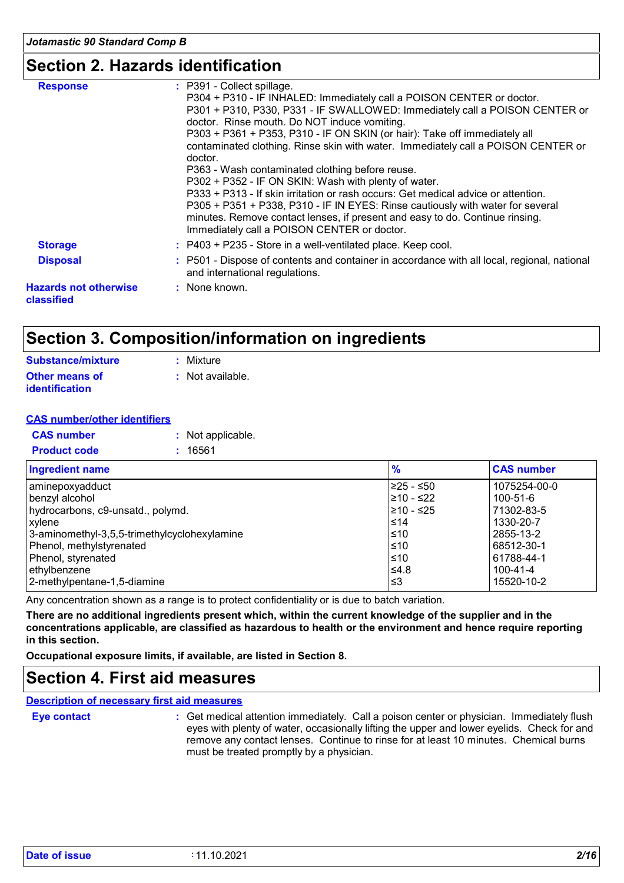### **Section 2. Hazards identification**

| <b>Response</b>                            | : P391 - Collect spillage.<br>P304 + P310 - IF INHALED: Immediately call a POISON CENTER or doctor.<br>P301 + P310, P330, P331 - IF SWALLOWED: Immediately call a POISON CENTER or<br>doctor. Rinse mouth. Do NOT induce vomiting.<br>P303 + P361 + P353, P310 - IF ON SKIN (or hair): Take off immediately all<br>contaminated clothing. Rinse skin with water. Immediately call a POISON CENTER or<br>doctor.<br>P363 - Wash contaminated clothing before reuse.<br>P302 + P352 - IF ON SKIN: Wash with plenty of water.<br>P333 + P313 - If skin irritation or rash occurs: Get medical advice or attention.<br>P305 + P351 + P338, P310 - IF IN EYES: Rinse cautiously with water for several<br>minutes. Remove contact lenses, if present and easy to do. Continue rinsing.<br>Immediately call a POISON CENTER or doctor. |
|--------------------------------------------|----------------------------------------------------------------------------------------------------------------------------------------------------------------------------------------------------------------------------------------------------------------------------------------------------------------------------------------------------------------------------------------------------------------------------------------------------------------------------------------------------------------------------------------------------------------------------------------------------------------------------------------------------------------------------------------------------------------------------------------------------------------------------------------------------------------------------------|
| <b>Storage</b>                             | : P403 + P235 - Store in a well-ventilated place. Keep cool.                                                                                                                                                                                                                                                                                                                                                                                                                                                                                                                                                                                                                                                                                                                                                                     |
| <b>Disposal</b>                            | : P501 - Dispose of contents and container in accordance with all local, regional, national<br>and international regulations.                                                                                                                                                                                                                                                                                                                                                                                                                                                                                                                                                                                                                                                                                                    |
| <b>Hazards not otherwise</b><br>classified | : None known.                                                                                                                                                                                                                                                                                                                                                                                                                                                                                                                                                                                                                                                                                                                                                                                                                    |

### **Section 3. Composition/information on ingredients**

| Substance/mixture                              | : Mixture        |
|------------------------------------------------|------------------|
| <b>Other means of</b><br><i>identification</i> | : Not available. |

#### **CAS number/other identifiers**

| <b>CAS number</b>   | : Not applicable. |
|---------------------|-------------------|
| <b>Product code</b> | : 16561           |

| <b>Ingredient name</b>                       | $\frac{9}{6}$ | <b>CAS number</b> |
|----------------------------------------------|---------------|-------------------|
| aminepoxyadduct                              | l≥25 - ≤50    | 1075254-00-0      |
| benzyl alcohol                               | l≥10 - ≤22    | 100-51-6          |
| hydrocarbons, c9-unsatd., polymd.            | l≥10 - ≤25    | 71302-83-5        |
| xylene                                       | l≤14          | 1330-20-7         |
| 3-aminomethyl-3,5,5-trimethylcyclohexylamine | l≤10          | 2855-13-2         |
| Phenol, methylstyrenated                     | l≤10          | 68512-30-1        |
| Phenol, styrenated                           | l≤10          | 61788-44-1        |
| ethylbenzene                                 | ≤4.8          | 100-41-4          |
| 2-methylpentane-1,5-diamine                  | ՝≤3           | 15520-10-2        |

Any concentration shown as a range is to protect confidentiality or is due to batch variation.

**There are no additional ingredients present which, within the current knowledge of the supplier and in the concentrations applicable, are classified as hazardous to health or the environment and hence require reporting in this section.**

**Occupational exposure limits, if available, are listed in Section 8.**

### **Section 4. First aid measures**

#### **Description of necessary first aid measures**

- **Eye contact :**
- 

: Get medical attention immediately. Call a poison center or physician. Immediately flush eyes with plenty of water, occasionally lifting the upper and lower eyelids. Check for and remove any contact lenses. Continue to rinse for at least 10 minutes. Chemical burns must be treated promptly by a physician.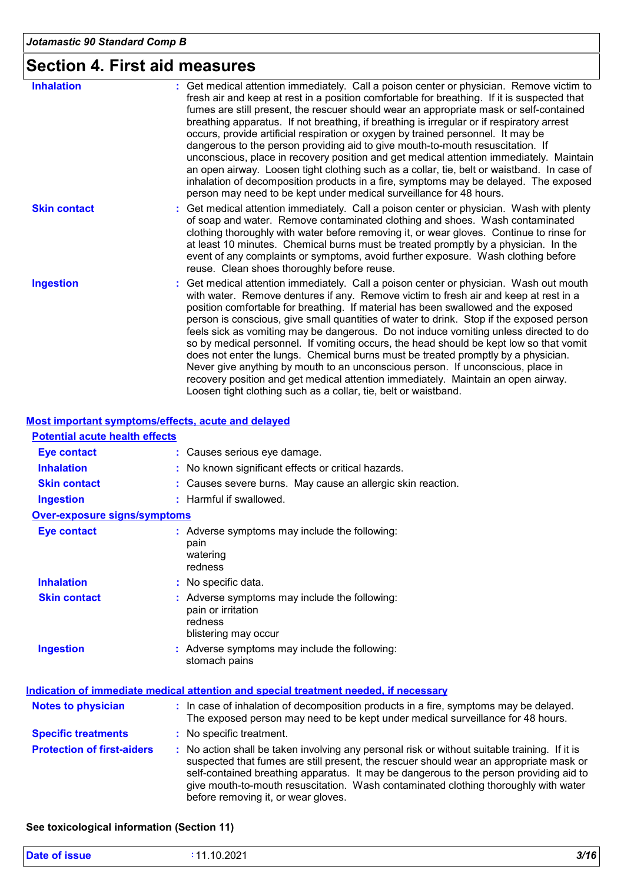### **Section 4. First aid measures**

| <b>Inhalation</b>   | : Get medical attention immediately. Call a poison center or physician. Remove victim to<br>fresh air and keep at rest in a position comfortable for breathing. If it is suspected that<br>fumes are still present, the rescuer should wear an appropriate mask or self-contained<br>breathing apparatus. If not breathing, if breathing is irregular or if respiratory arrest<br>occurs, provide artificial respiration or oxygen by trained personnel. It may be<br>dangerous to the person providing aid to give mouth-to-mouth resuscitation. If<br>unconscious, place in recovery position and get medical attention immediately. Maintain<br>an open airway. Loosen tight clothing such as a collar, tie, belt or waistband. In case of<br>inhalation of decomposition products in a fire, symptoms may be delayed. The exposed<br>person may need to be kept under medical surveillance for 48 hours. |
|---------------------|--------------------------------------------------------------------------------------------------------------------------------------------------------------------------------------------------------------------------------------------------------------------------------------------------------------------------------------------------------------------------------------------------------------------------------------------------------------------------------------------------------------------------------------------------------------------------------------------------------------------------------------------------------------------------------------------------------------------------------------------------------------------------------------------------------------------------------------------------------------------------------------------------------------|
| <b>Skin contact</b> | : Get medical attention immediately. Call a poison center or physician. Wash with plenty<br>of soap and water. Remove contaminated clothing and shoes. Wash contaminated<br>clothing thoroughly with water before removing it, or wear gloves. Continue to rinse for<br>at least 10 minutes. Chemical burns must be treated promptly by a physician. In the<br>event of any complaints or symptoms, avoid further exposure. Wash clothing before<br>reuse. Clean shoes thoroughly before reuse.                                                                                                                                                                                                                                                                                                                                                                                                              |
| <b>Ingestion</b>    | : Get medical attention immediately. Call a poison center or physician. Wash out mouth<br>with water. Remove dentures if any. Remove victim to fresh air and keep at rest in a<br>position comfortable for breathing. If material has been swallowed and the exposed<br>person is conscious, give small quantities of water to drink. Stop if the exposed person<br>feels sick as vomiting may be dangerous. Do not induce vomiting unless directed to do<br>so by medical personnel. If vomiting occurs, the head should be kept low so that vomit<br>does not enter the lungs. Chemical burns must be treated promptly by a physician.<br>Never give anything by mouth to an unconscious person. If unconscious, place in<br>recovery position and get medical attention immediately. Maintain an open airway.<br>Loosen tight clothing such as a collar, tie, belt or waistband.                          |

#### **Most important symptoms/effects, acute and delayed**

| <b>Potential acute health effects</b> |                                                                                                                                                                                                                                                                                                                                                                                                                 |
|---------------------------------------|-----------------------------------------------------------------------------------------------------------------------------------------------------------------------------------------------------------------------------------------------------------------------------------------------------------------------------------------------------------------------------------------------------------------|
| Eye contact                           | : Causes serious eye damage.                                                                                                                                                                                                                                                                                                                                                                                    |
| <b>Inhalation</b>                     | : No known significant effects or critical hazards.                                                                                                                                                                                                                                                                                                                                                             |
| <b>Skin contact</b>                   | : Causes severe burns. May cause an allergic skin reaction.                                                                                                                                                                                                                                                                                                                                                     |
| <b>Ingestion</b>                      | : Harmful if swallowed.                                                                                                                                                                                                                                                                                                                                                                                         |
| Over-exposure signs/symptoms          |                                                                                                                                                                                                                                                                                                                                                                                                                 |
| <b>Eye contact</b>                    | : Adverse symptoms may include the following:<br>pain<br>watering<br>redness                                                                                                                                                                                                                                                                                                                                    |
| <b>Inhalation</b>                     | : No specific data.                                                                                                                                                                                                                                                                                                                                                                                             |
| <b>Skin contact</b>                   | : Adverse symptoms may include the following:<br>pain or irritation<br>redness<br>blistering may occur                                                                                                                                                                                                                                                                                                          |
| <b>Ingestion</b>                      | : Adverse symptoms may include the following:<br>stomach pains                                                                                                                                                                                                                                                                                                                                                  |
|                                       | Indication of immediate medical attention and special treatment needed, if necessary                                                                                                                                                                                                                                                                                                                            |
| <b>Notes to physician</b>             | : In case of inhalation of decomposition products in a fire, symptoms may be delayed.<br>The exposed person may need to be kept under medical surveillance for 48 hours.                                                                                                                                                                                                                                        |
| <b>Specific treatments</b>            | : No specific treatment.                                                                                                                                                                                                                                                                                                                                                                                        |
| <b>Protection of first-aiders</b>     | : No action shall be taken involving any personal risk or without suitable training. If it is<br>suspected that fumes are still present, the rescuer should wear an appropriate mask or<br>self-contained breathing apparatus. It may be dangerous to the person providing aid to<br>give mouth-to-mouth resuscitation. Wash contaminated clothing thoroughly with water<br>before removing it, or wear gloves. |

#### **See toxicological information (Section 11)**

| <b>Date of issue</b> | 10.2021<br>- 4 | 3/16 |
|----------------------|----------------|------|
|                      |                |      |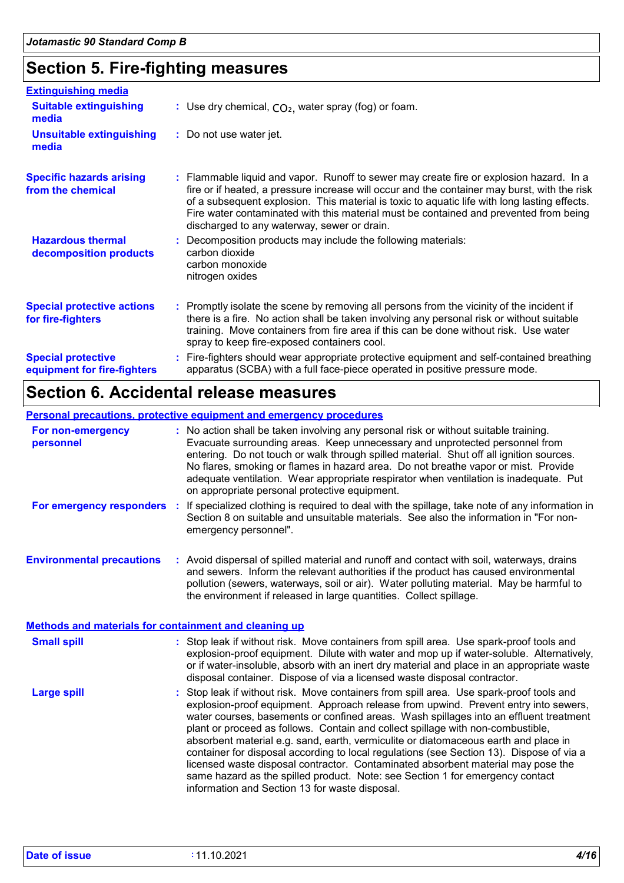### **Section 5. Fire-fighting measures**

| <b>Extinguishing media</b>                               |                                                                                                                                                                                                                                                                                                                                                                                                                                 |  |
|----------------------------------------------------------|---------------------------------------------------------------------------------------------------------------------------------------------------------------------------------------------------------------------------------------------------------------------------------------------------------------------------------------------------------------------------------------------------------------------------------|--|
| <b>Suitable extinguishing</b><br>media                   | : Use dry chemical, $CO2$ , water spray (fog) or foam.                                                                                                                                                                                                                                                                                                                                                                          |  |
| <b>Unsuitable extinguishing</b><br>media                 | : Do not use water jet.                                                                                                                                                                                                                                                                                                                                                                                                         |  |
| <b>Specific hazards arising</b><br>from the chemical     | : Flammable liquid and vapor. Runoff to sewer may create fire or explosion hazard. In a<br>fire or if heated, a pressure increase will occur and the container may burst, with the risk<br>of a subsequent explosion. This material is toxic to aquatic life with long lasting effects.<br>Fire water contaminated with this material must be contained and prevented from being<br>discharged to any waterway, sewer or drain. |  |
| <b>Hazardous thermal</b><br>decomposition products       | : Decomposition products may include the following materials:<br>carbon dioxide<br>carbon monoxide<br>nitrogen oxides                                                                                                                                                                                                                                                                                                           |  |
| <b>Special protective actions</b><br>for fire-fighters   | : Promptly isolate the scene by removing all persons from the vicinity of the incident if<br>there is a fire. No action shall be taken involving any personal risk or without suitable<br>training. Move containers from fire area if this can be done without risk. Use water<br>spray to keep fire-exposed containers cool.                                                                                                   |  |
| <b>Special protective</b><br>equipment for fire-fighters | : Fire-fighters should wear appropriate protective equipment and self-contained breathing<br>apparatus (SCBA) with a full face-piece operated in positive pressure mode.                                                                                                                                                                                                                                                        |  |

### **Section 6. Accidental release measures**

### **Personal precautions, protective equipment and emergency procedures**

| For non-emergency<br>personnel                               | : No action shall be taken involving any personal risk or without suitable training.<br>Evacuate surrounding areas. Keep unnecessary and unprotected personnel from<br>entering. Do not touch or walk through spilled material. Shut off all ignition sources.<br>No flares, smoking or flames in hazard area. Do not breathe vapor or mist. Provide<br>adequate ventilation. Wear appropriate respirator when ventilation is inadequate. Put<br>on appropriate personal protective equipment.                                                                                                                                                                                                                                                                     |  |
|--------------------------------------------------------------|--------------------------------------------------------------------------------------------------------------------------------------------------------------------------------------------------------------------------------------------------------------------------------------------------------------------------------------------------------------------------------------------------------------------------------------------------------------------------------------------------------------------------------------------------------------------------------------------------------------------------------------------------------------------------------------------------------------------------------------------------------------------|--|
| For emergency responders                                     | If specialized clothing is required to deal with the spillage, take note of any information in<br>Section 8 on suitable and unsuitable materials. See also the information in "For non-<br>emergency personnel".                                                                                                                                                                                                                                                                                                                                                                                                                                                                                                                                                   |  |
| <b>Environmental precautions</b>                             | : Avoid dispersal of spilled material and runoff and contact with soil, waterways, drains<br>and sewers. Inform the relevant authorities if the product has caused environmental<br>pollution (sewers, waterways, soil or air). Water polluting material. May be harmful to<br>the environment if released in large quantities. Collect spillage.                                                                                                                                                                                                                                                                                                                                                                                                                  |  |
| <b>Methods and materials for containment and cleaning up</b> |                                                                                                                                                                                                                                                                                                                                                                                                                                                                                                                                                                                                                                                                                                                                                                    |  |
| <b>Small spill</b>                                           | : Stop leak if without risk. Move containers from spill area. Use spark-proof tools and<br>explosion-proof equipment. Dilute with water and mop up if water-soluble. Alternatively,<br>or if water-insoluble, absorb with an inert dry material and place in an appropriate waste<br>disposal container. Dispose of via a licensed waste disposal contractor.                                                                                                                                                                                                                                                                                                                                                                                                      |  |
| <b>Large spill</b>                                           | Stop leak if without risk. Move containers from spill area. Use spark-proof tools and<br>explosion-proof equipment. Approach release from upwind. Prevent entry into sewers,<br>water courses, basements or confined areas. Wash spillages into an effluent treatment<br>plant or proceed as follows. Contain and collect spillage with non-combustible,<br>absorbent material e.g. sand, earth, vermiculite or diatomaceous earth and place in<br>container for disposal according to local regulations (see Section 13). Dispose of via a<br>licensed waste disposal contractor. Contaminated absorbent material may pose the<br>same hazard as the spilled product. Note: see Section 1 for emergency contact<br>information and Section 13 for waste disposal. |  |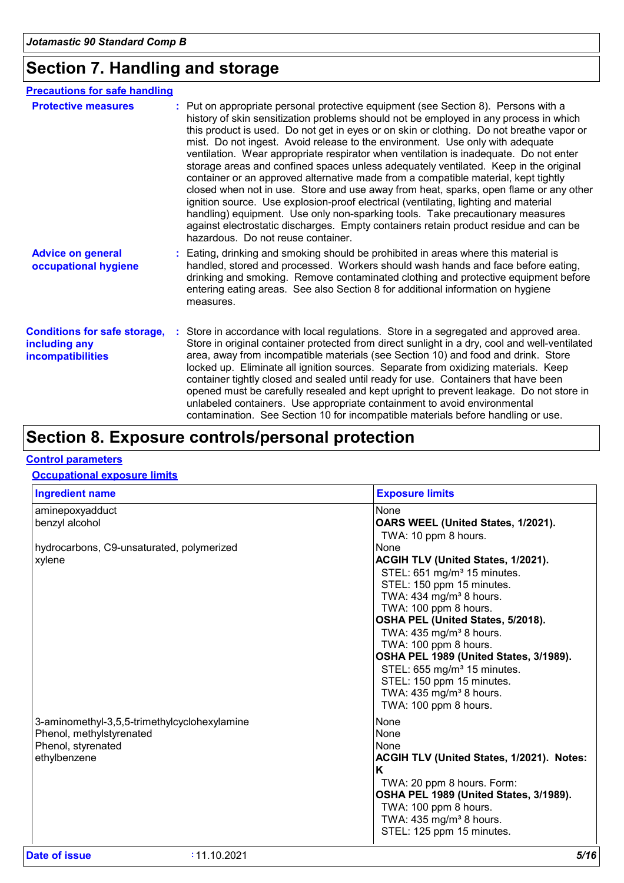### **Section 7. Handling and storage**

| <b>Precautions for safe handling</b>                                             |                                                                                                                                                                                                                                                                                                                                                                                                                                                                                                                                                                                                                                                                                                                                                                                                                                                                                                                                                                                                                                |
|----------------------------------------------------------------------------------|--------------------------------------------------------------------------------------------------------------------------------------------------------------------------------------------------------------------------------------------------------------------------------------------------------------------------------------------------------------------------------------------------------------------------------------------------------------------------------------------------------------------------------------------------------------------------------------------------------------------------------------------------------------------------------------------------------------------------------------------------------------------------------------------------------------------------------------------------------------------------------------------------------------------------------------------------------------------------------------------------------------------------------|
| <b>Protective measures</b>                                                       | : Put on appropriate personal protective equipment (see Section 8). Persons with a<br>history of skin sensitization problems should not be employed in any process in which<br>this product is used. Do not get in eyes or on skin or clothing. Do not breathe vapor or<br>mist. Do not ingest. Avoid release to the environment. Use only with adequate<br>ventilation. Wear appropriate respirator when ventilation is inadequate. Do not enter<br>storage areas and confined spaces unless adequately ventilated. Keep in the original<br>container or an approved alternative made from a compatible material, kept tightly<br>closed when not in use. Store and use away from heat, sparks, open flame or any other<br>ignition source. Use explosion-proof electrical (ventilating, lighting and material<br>handling) equipment. Use only non-sparking tools. Take precautionary measures<br>against electrostatic discharges. Empty containers retain product residue and can be<br>hazardous. Do not reuse container. |
| <b>Advice on general</b><br>occupational hygiene                                 | : Eating, drinking and smoking should be prohibited in areas where this material is<br>handled, stored and processed. Workers should wash hands and face before eating,<br>drinking and smoking. Remove contaminated clothing and protective equipment before<br>entering eating areas. See also Section 8 for additional information on hygiene<br>measures.                                                                                                                                                                                                                                                                                                                                                                                                                                                                                                                                                                                                                                                                  |
| <b>Conditions for safe storage,</b><br>including any<br><b>incompatibilities</b> | Store in accordance with local regulations. Store in a segregated and approved area.<br>Store in original container protected from direct sunlight in a dry, cool and well-ventilated<br>area, away from incompatible materials (see Section 10) and food and drink. Store<br>locked up. Eliminate all ignition sources. Separate from oxidizing materials. Keep<br>container tightly closed and sealed until ready for use. Containers that have been<br>opened must be carefully resealed and kept upright to prevent leakage. Do not store in<br>unlabeled containers. Use appropriate containment to avoid environmental<br>contamination. See Section 10 for incompatible materials before handling or use.                                                                                                                                                                                                                                                                                                               |

### **Section 8. Exposure controls/personal protection**

### **Control parameters**

#### **Occupational exposure limits**

| <b>Ingredient name</b>                                                                                         | <b>Exposure limits</b>                                                                                                                                                                                                                                                                                                                                                                                                                                                                           |
|----------------------------------------------------------------------------------------------------------------|--------------------------------------------------------------------------------------------------------------------------------------------------------------------------------------------------------------------------------------------------------------------------------------------------------------------------------------------------------------------------------------------------------------------------------------------------------------------------------------------------|
| aminepoxyadduct<br>benzyl alcohol                                                                              | None<br>OARS WEEL (United States, 1/2021).                                                                                                                                                                                                                                                                                                                                                                                                                                                       |
| hydrocarbons, C9-unsaturated, polymerized<br>xylene                                                            | TWA: 10 ppm 8 hours.<br>None<br>ACGIH TLV (United States, 1/2021).<br>STEL: 651 mg/m <sup>3</sup> 15 minutes.<br>STEL: 150 ppm 15 minutes.<br>TWA: 434 mg/m <sup>3</sup> 8 hours.<br>TWA: 100 ppm 8 hours.<br>OSHA PEL (United States, 5/2018).<br>TWA: $435 \text{ mg/m}^3$ 8 hours.<br>TWA: 100 ppm 8 hours.<br>OSHA PEL 1989 (United States, 3/1989).<br>STEL: 655 mg/m <sup>3</sup> 15 minutes.<br>STEL: 150 ppm 15 minutes.<br>TWA: 435 mg/m <sup>3</sup> 8 hours.<br>TWA: 100 ppm 8 hours. |
| 3-aminomethyl-3,5,5-trimethylcyclohexylamine<br>Phenol, methylstyrenated<br>Phenol, styrenated<br>ethylbenzene | None<br>None<br>None<br>ACGIH TLV (United States, 1/2021). Notes:<br>K<br>TWA: 20 ppm 8 hours. Form:<br>OSHA PEL 1989 (United States, 3/1989).<br>TWA: 100 ppm 8 hours.<br>TWA: $435 \text{ mg/m}^3$ 8 hours.<br>STEL: 125 ppm 15 minutes.                                                                                                                                                                                                                                                       |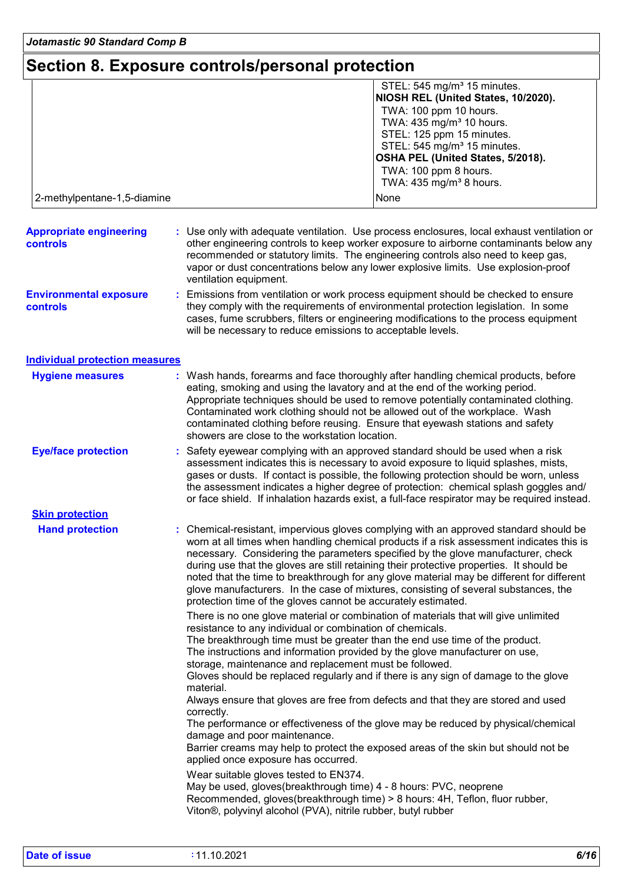### **Section 8. Exposure controls/personal protection**

|                                                   | STEL: 545 mg/m <sup>3</sup> 15 minutes.<br>NIOSH REL (United States, 10/2020).<br>TWA: 100 ppm 10 hours.<br>TWA: 435 mg/m <sup>3</sup> 10 hours.<br>STEL: 125 ppm 15 minutes.<br>STEL: 545 mg/m <sup>3</sup> 15 minutes.<br>OSHA PEL (United States, 5/2018).<br>TWA: 100 ppm 8 hours.<br>TWA: 435 mg/m <sup>3</sup> 8 hours.                                                                                                                                                                                                                                                                                          |  |  |
|---------------------------------------------------|------------------------------------------------------------------------------------------------------------------------------------------------------------------------------------------------------------------------------------------------------------------------------------------------------------------------------------------------------------------------------------------------------------------------------------------------------------------------------------------------------------------------------------------------------------------------------------------------------------------------|--|--|
| 2-methylpentane-1,5-diamine                       | None                                                                                                                                                                                                                                                                                                                                                                                                                                                                                                                                                                                                                   |  |  |
| <b>Appropriate engineering</b><br><b>controls</b> | : Use only with adequate ventilation. Use process enclosures, local exhaust ventilation or<br>other engineering controls to keep worker exposure to airborne contaminants below any<br>recommended or statutory limits. The engineering controls also need to keep gas,<br>vapor or dust concentrations below any lower explosive limits. Use explosion-proof<br>ventilation equipment.                                                                                                                                                                                                                                |  |  |
| <b>Environmental exposure</b><br><b>controls</b>  | Emissions from ventilation or work process equipment should be checked to ensure<br>they comply with the requirements of environmental protection legislation. In some<br>cases, fume scrubbers, filters or engineering modifications to the process equipment<br>will be necessary to reduce emissions to acceptable levels.                                                                                                                                                                                                                                                                                          |  |  |
| <b>Individual protection measures</b>             |                                                                                                                                                                                                                                                                                                                                                                                                                                                                                                                                                                                                                        |  |  |
| <b>Hygiene measures</b>                           | : Wash hands, forearms and face thoroughly after handling chemical products, before<br>eating, smoking and using the lavatory and at the end of the working period.<br>Appropriate techniques should be used to remove potentially contaminated clothing.<br>Contaminated work clothing should not be allowed out of the workplace. Wash<br>contaminated clothing before reusing. Ensure that eyewash stations and safety<br>showers are close to the workstation location.                                                                                                                                            |  |  |
| <b>Eye/face protection</b>                        | Safety eyewear complying with an approved standard should be used when a risk<br>assessment indicates this is necessary to avoid exposure to liquid splashes, mists,<br>gases or dusts. If contact is possible, the following protection should be worn, unless<br>the assessment indicates a higher degree of protection: chemical splash goggles and/<br>or face shield. If inhalation hazards exist, a full-face respirator may be required instead.                                                                                                                                                                |  |  |
| <b>Skin protection</b>                            |                                                                                                                                                                                                                                                                                                                                                                                                                                                                                                                                                                                                                        |  |  |
| <b>Hand protection</b>                            | : Chemical-resistant, impervious gloves complying with an approved standard should be<br>worn at all times when handling chemical products if a risk assessment indicates this is<br>necessary. Considering the parameters specified by the glove manufacturer, check<br>during use that the gloves are still retaining their protective properties. It should be<br>noted that the time to breakthrough for any glove material may be different for different<br>glove manufacturers. In the case of mixtures, consisting of several substances, the<br>protection time of the gloves cannot be accurately estimated. |  |  |
|                                                   | There is no one glove material or combination of materials that will give unlimited<br>resistance to any individual or combination of chemicals.<br>The breakthrough time must be greater than the end use time of the product.<br>The instructions and information provided by the glove manufacturer on use,<br>storage, maintenance and replacement must be followed.<br>Gloves should be replaced regularly and if there is any sign of damage to the glove<br>material.                                                                                                                                           |  |  |
|                                                   | Always ensure that gloves are free from defects and that they are stored and used<br>correctly.<br>The performance or effectiveness of the glove may be reduced by physical/chemical<br>damage and poor maintenance.                                                                                                                                                                                                                                                                                                                                                                                                   |  |  |
|                                                   | Barrier creams may help to protect the exposed areas of the skin but should not be<br>applied once exposure has occurred.                                                                                                                                                                                                                                                                                                                                                                                                                                                                                              |  |  |
|                                                   | Wear suitable gloves tested to EN374.<br>May be used, gloves(breakthrough time) 4 - 8 hours: PVC, neoprene<br>Recommended, gloves(breakthrough time) > 8 hours: 4H, Teflon, fluor rubber,<br>Viton <sup>®</sup> , polyvinyl alcohol (PVA), nitrile rubber, butyl rubber                                                                                                                                                                                                                                                                                                                                                |  |  |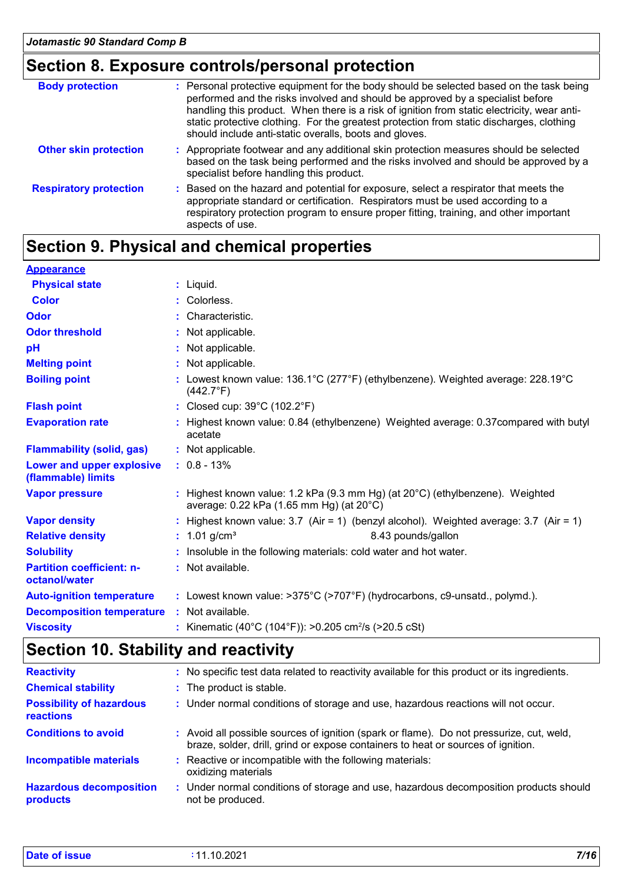### **Section 8. Exposure controls/personal protection**

| <b>Body protection</b>        | : Personal protective equipment for the body should be selected based on the task being<br>performed and the risks involved and should be approved by a specialist before<br>handling this product. When there is a risk of ignition from static electricity, wear anti-<br>static protective clothing. For the greatest protection from static discharges, clothing<br>should include anti-static overalls, boots and gloves. |
|-------------------------------|--------------------------------------------------------------------------------------------------------------------------------------------------------------------------------------------------------------------------------------------------------------------------------------------------------------------------------------------------------------------------------------------------------------------------------|
| <b>Other skin protection</b>  | : Appropriate footwear and any additional skin protection measures should be selected<br>based on the task being performed and the risks involved and should be approved by a<br>specialist before handling this product.                                                                                                                                                                                                      |
| <b>Respiratory protection</b> | : Based on the hazard and potential for exposure, select a respirator that meets the<br>appropriate standard or certification. Respirators must be used according to a<br>respiratory protection program to ensure proper fitting, training, and other important<br>aspects of use.                                                                                                                                            |

### **Section 9. Physical and chemical properties**

| <b>Appearance</b>                                 |                                                                                                                                        |  |  |  |
|---------------------------------------------------|----------------------------------------------------------------------------------------------------------------------------------------|--|--|--|
| <b>Physical state</b>                             | $:$ Liquid.                                                                                                                            |  |  |  |
| <b>Color</b>                                      | : Colorless.                                                                                                                           |  |  |  |
| <b>Odor</b>                                       | : Characteristic.                                                                                                                      |  |  |  |
| <b>Odor threshold</b>                             | : Not applicable.                                                                                                                      |  |  |  |
| pH                                                | : Not applicable.                                                                                                                      |  |  |  |
| <b>Melting point</b>                              | : Not applicable.                                                                                                                      |  |  |  |
| <b>Boiling point</b>                              | : Lowest known value: $136.1^{\circ}$ C (277 $^{\circ}$ F) (ethylbenzene). Weighted average: 228.19 $^{\circ}$ C<br>$(442.7^{\circ}F)$ |  |  |  |
| <b>Flash point</b>                                | : Closed cup: $39^{\circ}$ C (102.2 $^{\circ}$ F)                                                                                      |  |  |  |
| <b>Evaporation rate</b>                           | : Highest known value: 0.84 (ethylbenzene) Weighted average: 0.37 compared with butyl<br>acetate                                       |  |  |  |
| <b>Flammability (solid, gas)</b>                  | : Not applicable.                                                                                                                      |  |  |  |
| Lower and upper explosive<br>(flammable) limits   | $: 0.8 - 13%$                                                                                                                          |  |  |  |
| <b>Vapor pressure</b>                             | : Highest known value: 1.2 kPa (9.3 mm Hg) (at $20^{\circ}$ C) (ethylbenzene). Weighted<br>average: 0.22 kPa (1.65 mm Hg) (at 20°C)    |  |  |  |
| <b>Vapor density</b>                              | : Highest known value: $3.7$ (Air = 1) (benzyl alcohol). Weighted average: $3.7$ (Air = 1)                                             |  |  |  |
| <b>Relative density</b>                           | : $1.01$ g/cm <sup>3</sup><br>8.43 pounds/gallon                                                                                       |  |  |  |
| <b>Solubility</b>                                 | : Insoluble in the following materials: cold water and hot water.                                                                      |  |  |  |
| <b>Partition coefficient: n-</b><br>octanol/water | : Not available.                                                                                                                       |  |  |  |
| <b>Auto-ignition temperature</b>                  | : Lowest known value: >375°C (>707°F) (hydrocarbons, c9-unsatd., polymd.).                                                             |  |  |  |
| <b>Decomposition temperature</b>                  | : Not available.                                                                                                                       |  |  |  |
| <b>Viscosity</b>                                  | : Kinematic (40°C (104°F)): >0.205 cm <sup>2</sup> /s (>20.5 cSt)                                                                      |  |  |  |

### **Section 10. Stability and reactivity**

| <b>Reactivity</b>                            | : No specific test data related to reactivity available for this product or its ingredients.                                                                                 |  |  |
|----------------------------------------------|------------------------------------------------------------------------------------------------------------------------------------------------------------------------------|--|--|
| <b>Chemical stability</b>                    | : The product is stable.                                                                                                                                                     |  |  |
| <b>Possibility of hazardous</b><br>reactions | : Under normal conditions of storage and use, hazardous reactions will not occur.                                                                                            |  |  |
| <b>Conditions to avoid</b>                   | : Avoid all possible sources of ignition (spark or flame). Do not pressurize, cut, weld,<br>braze, solder, drill, grind or expose containers to heat or sources of ignition. |  |  |
| <b>Incompatible materials</b>                | : Reactive or incompatible with the following materials:<br>oxidizing materials                                                                                              |  |  |
| <b>Hazardous decomposition</b><br>products   | : Under normal conditions of storage and use, hazardous decomposition products should<br>not be produced.                                                                    |  |  |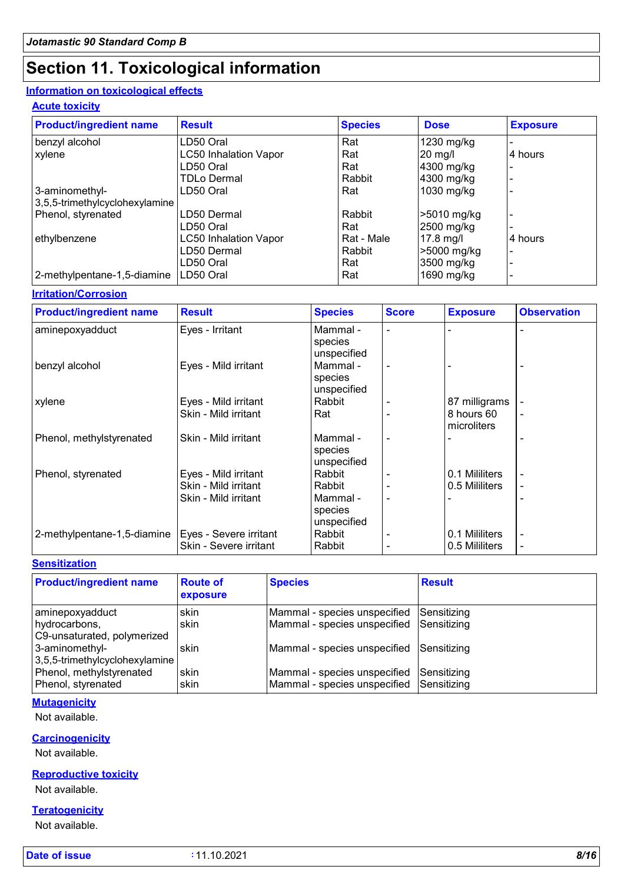### **Section 11. Toxicological information**

### **Information on toxicological effects**

**Acute toxicity**

| <b>Product/ingredient name</b> | <b>Result</b>                | <b>Species</b> | <b>Dose</b>  | <b>Exposure</b> |
|--------------------------------|------------------------------|----------------|--------------|-----------------|
| benzyl alcohol                 | LD50 Oral                    | Rat            | 1230 mg/kg   |                 |
| xylene                         | <b>LC50 Inhalation Vapor</b> | Rat            | $20$ mg/l    | 4 hours         |
|                                | LD50 Oral                    | Rat            | 4300 mg/kg   |                 |
|                                | TDLo Dermal                  | Rabbit         | 4300 mg/kg   |                 |
| 3-aminomethyl-                 | LD50 Oral                    | Rat            | $1030$ mg/kg |                 |
| 3,5,5-trimethylcyclohexylamine |                              |                |              |                 |
| Phenol, styrenated             | LD50 Dermal                  | Rabbit         | >5010 mg/kg  |                 |
|                                | LD50 Oral                    | Rat            | 2500 mg/kg   |                 |
| ethylbenzene                   | <b>LC50 Inhalation Vapor</b> | Rat - Male     | $17.8$ mg/l  | 4 hours         |
|                                | LD50 Dermal                  | Rabbit         | >5000 mg/kg  |                 |
|                                | LD50 Oral                    | Rat            | 3500 mg/kg   |                 |
| 2-methylpentane-1,5-diamine    | LD50 Oral                    | Rat            | 1690 mg/kg   |                 |

**Irritation/Corrosion**

| <b>Product/ingredient name</b> | <b>Result</b>                                    | <b>Species</b>                     | <b>Score</b> | <b>Exposure</b>                  | <b>Observation</b>                                   |
|--------------------------------|--------------------------------------------------|------------------------------------|--------------|----------------------------------|------------------------------------------------------|
| aminepoxyadduct                | Eyes - Irritant                                  | Mammal -<br>species<br>unspecified |              |                                  |                                                      |
| benzyl alcohol                 | Eyes - Mild irritant                             | Mammal -<br>species<br>unspecified |              |                                  | $\overline{\phantom{0}}$                             |
| xylene                         | Eyes - Mild irritant                             | Rabbit                             |              | 87 milligrams                    |                                                      |
|                                | Skin - Mild irritant                             | Rat                                |              | 8 hours 60<br>microliters        | ٠                                                    |
| Phenol, methylstyrenated       | Skin - Mild irritant                             | Mammal -<br>species<br>unspecified |              |                                  |                                                      |
| Phenol, styrenated             | Eyes - Mild irritant                             | Rabbit                             |              | 0.1 Mililiters                   | $\overline{\phantom{0}}$                             |
|                                | Skin - Mild irritant                             | Rabbit                             |              | 0.5 Mililiters                   | $\overline{\phantom{a}}$                             |
|                                | Skin - Mild irritant                             | Mammal -<br>species<br>unspecified |              |                                  | ٠                                                    |
| 2-methylpentane-1,5-diamine    | Eyes - Severe irritant<br>Skin - Severe irritant | Rabbit<br>Rabbit                   |              | 0.1 Mililiters<br>0.5 Mililiters | $\overline{\phantom{0}}$<br>$\overline{\phantom{a}}$ |

### **Sensitization**

| <b>Product/ingredient name</b> | <b>Route of</b><br>exposure | <b>Species</b>                           | <b>Result</b>      |
|--------------------------------|-----------------------------|------------------------------------------|--------------------|
| aminepoxyadduct                | skin                        | Mammal - species unspecified             | Sensitizing        |
| hydrocarbons,                  | skin                        | Mammal - species unspecified             | Sensitizing        |
| C9-unsaturated, polymerized    |                             |                                          |                    |
| 3-aminomethyl-                 | skin                        | Mammal - species unspecified             | Sensitizing        |
| 3,5,5-trimethylcyclohexylamine |                             |                                          |                    |
| Phenol, methylstyrenated       | skin                        | Mammal - species unspecified             | <b>Sensitizing</b> |
| Phenol, styrenated             | skin                        | Mammal - species unspecified Sensitizing |                    |

#### **Mutagenicity**

Not available.

#### **Carcinogenicity**

Not available.

### **Reproductive toxicity**

Not available.

### **Teratogenicity**

Not available.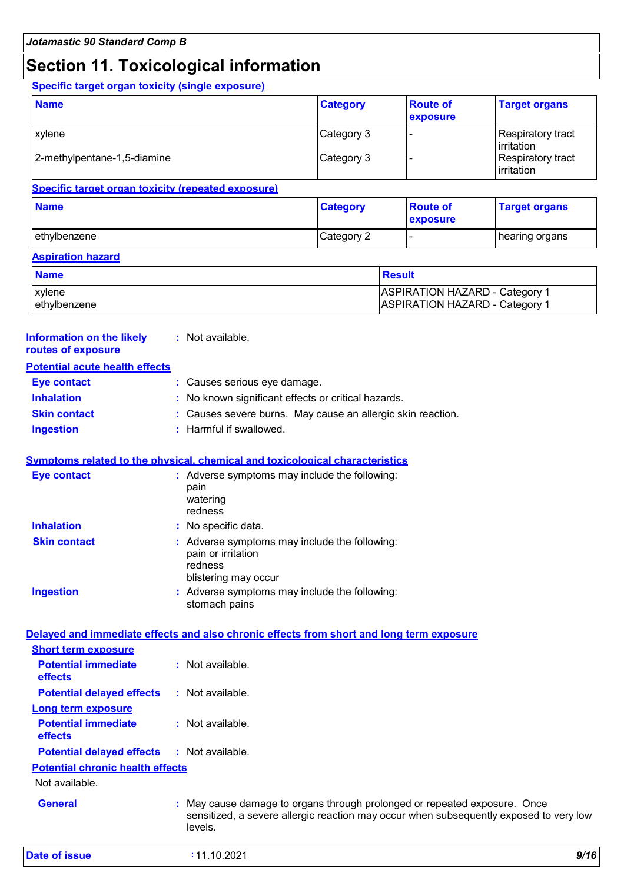### **Section 11. Toxicological information**

**Specific target organ toxicity (single exposure)**

| <b>Name</b>                 | <b>Category</b> | <b>Route of</b><br>exposure | <b>Target organs</b>                     |
|-----------------------------|-----------------|-----------------------------|------------------------------------------|
| xylene                      | Category 3      |                             | Respiratory tract<br><b>l</b> irritation |
| 2-methylpentane-1,5-diamine | Category 3      |                             | Respiratory tract<br>irritation          |

#### **Specific target organ toxicity (repeated exposure)**

| <b>Name</b>   | <b>Category</b> | <b>Route of</b><br><b>exposure</b> | <b>Target organs</b> |
|---------------|-----------------|------------------------------------|----------------------|
| lethylbenzene | Category 2      |                                    | hearing organs       |

#### **Aspiration hazard**

| <b>Name</b>  | Result                                |
|--------------|---------------------------------------|
| xylene       | ASPIRATION HAZARD - Category          |
| ethylbenzene | <b>ASPIRATION HAZARD - Category 1</b> |

| : Not available.                                            |
|-------------------------------------------------------------|
|                                                             |
| : Causes serious eye damage.                                |
| : No known significant effects or critical hazards.         |
| : Causes severe burns. May cause an allergic skin reaction. |
| : Harmful if swallowed.                                     |
| <b>Potential acute health effects</b>                       |

### **Symptoms related to the physical, chemical and toxicological characteristics**

| <b>Eye contact</b>  | : Adverse symptoms may include the following:<br>pain<br>watering<br>redness                           |
|---------------------|--------------------------------------------------------------------------------------------------------|
| <b>Inhalation</b>   | : No specific data.                                                                                    |
| <b>Skin contact</b> | : Adverse symptoms may include the following:<br>pain or irritation<br>redness<br>blistering may occur |
| <b>Ingestion</b>    | : Adverse symptoms may include the following:<br>stomach pains                                         |

#### **Delayed and immediate effects and also chronic effects from short and long term exposure**

| $\therefore$ Not available.                                                                                                                                                    |
|--------------------------------------------------------------------------------------------------------------------------------------------------------------------------------|
| : Not available.                                                                                                                                                               |
|                                                                                                                                                                                |
| : Not available.                                                                                                                                                               |
| <b>Potential delayed effects : Not available.</b>                                                                                                                              |
|                                                                                                                                                                                |
|                                                                                                                                                                                |
| : May cause damage to organs through prolonged or repeated exposure. Once<br>sensitized, a severe allergic reaction may occur when subsequently exposed to very low<br>levels. |
| <b>Potential chronic health effects</b>                                                                                                                                        |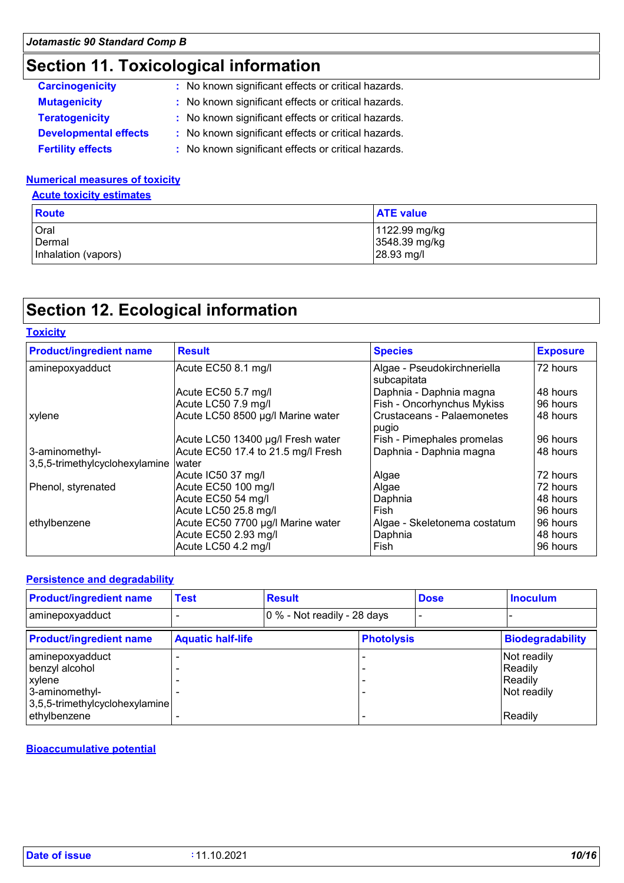### **Section 11. Toxicological information**

| <b>Carcinogenicity</b>       | : No known significant effects or critical hazards. |
|------------------------------|-----------------------------------------------------|
| <b>Mutagenicity</b>          | : No known significant effects or critical hazards. |
| <b>Teratogenicity</b>        | : No known significant effects or critical hazards. |
| <b>Developmental effects</b> | : No known significant effects or critical hazards. |
| <b>Fertility effects</b>     | : No known significant effects or critical hazards. |

#### **Numerical measures of toxicity**

**Acute toxicity estimates**

| Route               | <b>ATE value</b> |
|---------------------|------------------|
| Oral                | 1122.99 mg/kg    |
| Dermal              | 3548.39 mg/kg    |
| Inhalation (vapors) | 28.93 mg/l       |

### **Section 12. Ecological information**

| <b>Product/ingredient name</b> | <b>Result</b>                      | <b>Species</b>                             | <b>Exposure</b> |  |
|--------------------------------|------------------------------------|--------------------------------------------|-----------------|--|
| aminepoxyadduct                | Acute EC50 8.1 mg/l                | Algae - Pseudokirchneriella<br>subcapitata | 72 hours        |  |
|                                | Acute EC50 5.7 mg/l                | Daphnia - Daphnia magna                    | 48 hours        |  |
|                                | Acute LC50 7.9 mg/l                | Fish - Oncorhynchus Mykiss                 | 96 hours        |  |
| xylene                         | Acute LC50 8500 µg/l Marine water  | Crustaceans - Palaemonetes<br>pugio        | 48 hours        |  |
|                                | Acute LC50 13400 µg/l Fresh water  | Fish - Pimephales promelas                 | 96 hours        |  |
| 3-aminomethyl-                 | Acute EC50 17.4 to 21.5 mg/l Fresh | Daphnia - Daphnia magna                    | 48 hours        |  |
| 3,5,5-trimethylcyclohexylamine | <b>Iwater</b>                      |                                            |                 |  |
|                                | Acute IC50 37 mg/l                 | Algae                                      | 72 hours        |  |
| Phenol, styrenated             | Acute EC50 100 mg/l                | Algae                                      | 72 hours        |  |
|                                | Acute EC50 54 mg/l                 | Daphnia                                    | 48 hours        |  |
|                                | Acute LC50 25.8 mg/l               | Fish                                       | 96 hours        |  |
| ethylbenzene                   | Acute EC50 7700 µg/l Marine water  | Algae - Skeletonema costatum               | 96 hours        |  |
|                                | Acute EC50 2.93 mg/l               | Daphnia                                    | 48 hours        |  |
|                                | Acute LC50 4.2 mg/l                | Fish                                       | 96 hours        |  |

### **Persistence and degradability**

| <b>Product/ingredient name</b> | <b>Test</b>              | <b>Result</b> |                             |  | <b>Inoculum</b>         |  |
|--------------------------------|--------------------------|---------------|-----------------------------|--|-------------------------|--|
| aminepoxyadduct                |                          |               | 0 % - Not readily - 28 days |  |                         |  |
| <b>Product/ingredient name</b> | <b>Aquatic half-life</b> |               | <b>Photolysis</b>           |  | <b>Biodegradability</b> |  |
| aminepoxyadduct                |                          |               |                             |  | Not readily             |  |
| benzyl alcohol                 |                          |               |                             |  | Readily                 |  |
| xylene                         |                          |               |                             |  | Readily                 |  |
| 3-aminomethyl-                 |                          |               |                             |  | Not readily             |  |
| 3,5,5-trimethylcyclohexylamine |                          |               |                             |  |                         |  |
| ethylbenzene                   |                          |               |                             |  | Readily                 |  |

### **Bioaccumulative potential**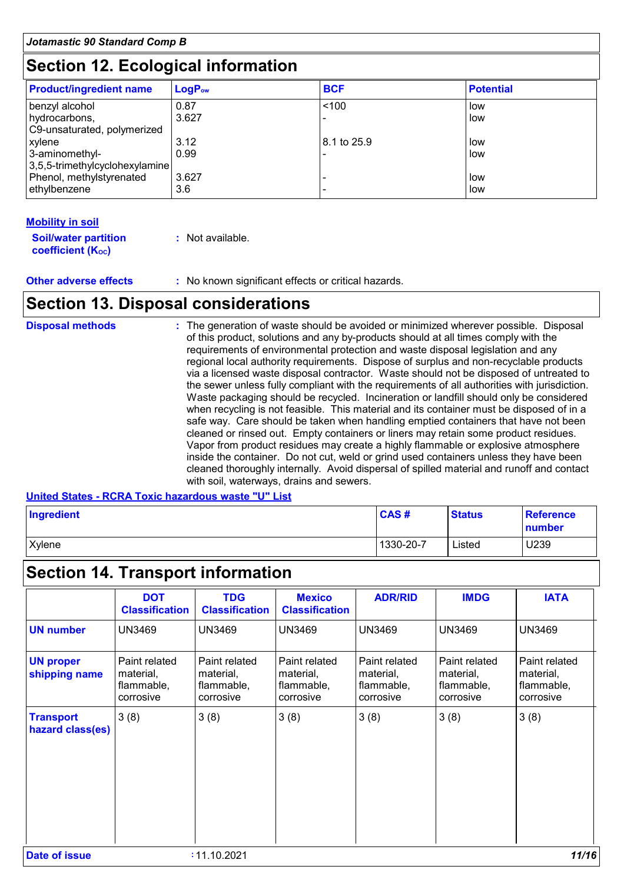### **Section 12. Ecological information**

| <b>Product/ingredient name</b>     | $LogP_{ow}$ | <b>BCF</b>  | <b>Potential</b> |
|------------------------------------|-------------|-------------|------------------|
| benzyl alcohol                     | 0.87        | < 100       | low              |
| hydrocarbons,                      | 3.627       |             | low              |
| C9-unsaturated, polymerized        |             |             |                  |
| xylene                             | 3.12        | 8.1 to 25.9 | low              |
| 3-aminomethyl-                     | 0.99        |             | low              |
| $ 3,5,5$ -trimethylcyclohexylamine |             |             |                  |
| Phenol, methylstyrenated           | 3.627       |             | low              |
| ethylbenzene                       | 3.6         |             | low              |

#### **Mobility in soil**

| <b>Soil/water partition</b> | : Not available. |
|-----------------------------|------------------|
| <b>coefficient (Koc)</b>    |                  |

**Other adverse effects** : No known significant effects or critical hazards.

### **Section 13. Disposal considerations**

| <b>Disposal methods</b> | : The generation of waste should be avoided or minimized wherever possible. Disposal<br>of this product, solutions and any by-products should at all times comply with the<br>requirements of environmental protection and waste disposal legislation and any<br>regional local authority requirements. Dispose of surplus and non-recyclable products<br>via a licensed waste disposal contractor. Waste should not be disposed of untreated to<br>the sewer unless fully compliant with the requirements of all authorities with jurisdiction.<br>Waste packaging should be recycled. Incineration or landfill should only be considered<br>when recycling is not feasible. This material and its container must be disposed of in a<br>safe way. Care should be taken when handling emptied containers that have not been<br>cleaned or rinsed out. Empty containers or liners may retain some product residues.<br>Vapor from product residues may create a highly flammable or explosive atmosphere<br>inside the container. Do not cut, weld or grind used containers unless they have been<br>cleaned thoroughly internally. Avoid dispersal of spilled material and runoff and contact |
|-------------------------|------------------------------------------------------------------------------------------------------------------------------------------------------------------------------------------------------------------------------------------------------------------------------------------------------------------------------------------------------------------------------------------------------------------------------------------------------------------------------------------------------------------------------------------------------------------------------------------------------------------------------------------------------------------------------------------------------------------------------------------------------------------------------------------------------------------------------------------------------------------------------------------------------------------------------------------------------------------------------------------------------------------------------------------------------------------------------------------------------------------------------------------------------------------------------------------------|
|                         | with soil, waterways, drains and sewers.                                                                                                                                                                                                                                                                                                                                                                                                                                                                                                                                                                                                                                                                                                                                                                                                                                                                                                                                                                                                                                                                                                                                                       |

**United States - RCRA Toxic hazardous waste "U" List**

| Ingredient | CAS#      | <b>Status</b> | <b>Reference</b><br>number |
|------------|-----------|---------------|----------------------------|
| Xylene     | 1330-20-7 | Listed        | U239                       |

### **Section 14. Transport information**

|                                      | <b>DOT</b><br><b>Classification</b>                   | <b>TDG</b><br><b>Classification</b>                   | <b>Mexico</b><br><b>Classification</b>                | <b>ADR/RID</b>                                        | <b>IMDG</b>                                           | <b>IATA</b>                                           |
|--------------------------------------|-------------------------------------------------------|-------------------------------------------------------|-------------------------------------------------------|-------------------------------------------------------|-------------------------------------------------------|-------------------------------------------------------|
| <b>UN number</b>                     | <b>UN3469</b>                                         | <b>UN3469</b>                                         | <b>UN3469</b>                                         | <b>UN3469</b>                                         | <b>UN3469</b>                                         | <b>UN3469</b>                                         |
| <b>UN proper</b><br>shipping name    | Paint related<br>material,<br>flammable,<br>corrosive | Paint related<br>material,<br>flammable,<br>corrosive | Paint related<br>material,<br>flammable,<br>corrosive | Paint related<br>material,<br>flammable,<br>corrosive | Paint related<br>material,<br>flammable,<br>corrosive | Paint related<br>material,<br>flammable,<br>corrosive |
| <b>Transport</b><br>hazard class(es) | 3(8)                                                  | 3(8)                                                  | 3(8)                                                  | 3(8)                                                  | 3(8)                                                  | 3(8)                                                  |
| Date of issue                        |                                                       | :11.10.2021                                           |                                                       |                                                       |                                                       | 11/16                                                 |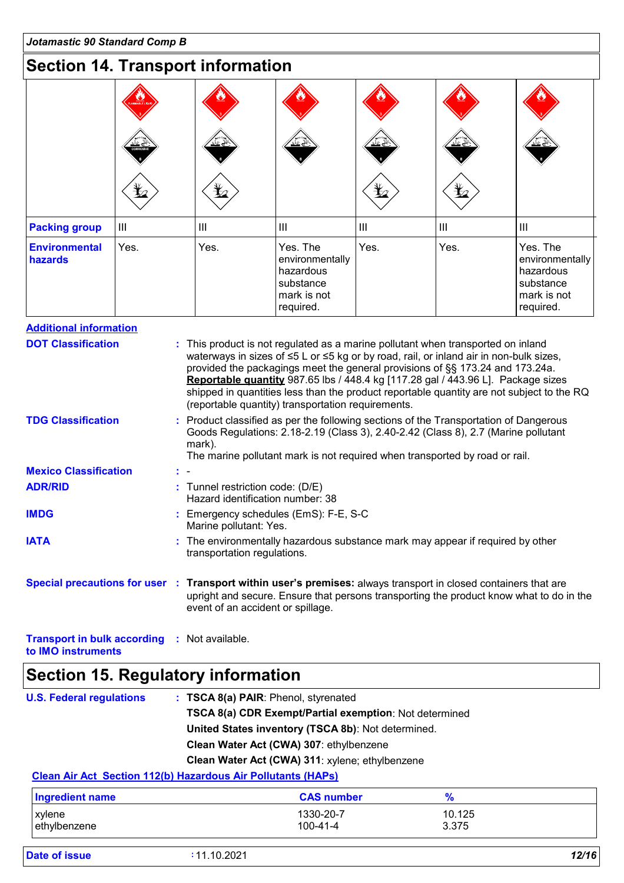### **Section 14. Transport information**

|                                 | <b>LANNABLE LIQUE</b><br>≚≚<br><b>CORROSNE</b><br>$\mathbf{\mathbf{\underline{Y}}}_2$ | 立体<br>$\bigstar$ | <u>v∠ ≹</u>                                                                       | $\bigstar$                         | 不需<br>$\bigstar$ | <u>v X</u>                                                                        |
|---------------------------------|---------------------------------------------------------------------------------------|------------------|-----------------------------------------------------------------------------------|------------------------------------|------------------|-----------------------------------------------------------------------------------|
| <b>Packing group</b>            | $\mathbf{III}$                                                                        | $\mathbf{III}$   | $\mathbf{III}$                                                                    | $\ensuremath{\mathsf{III}}\xspace$ | Ш                | $\begin{array}{c} \hline \end{array}$                                             |
| <b>Environmental</b><br>hazards | Yes.                                                                                  | Yes.             | Yes. The<br>environmentally<br>hazardous<br>substance<br>mark is not<br>required. | Yes.                               | Yes.             | Yes. The<br>environmentally<br>hazardous<br>substance<br>mark is not<br>required. |

| <b>Additional information</b>                                                         |                                                                                                                                                                                                                                                                                                                                                                                                                                                                                                                |
|---------------------------------------------------------------------------------------|----------------------------------------------------------------------------------------------------------------------------------------------------------------------------------------------------------------------------------------------------------------------------------------------------------------------------------------------------------------------------------------------------------------------------------------------------------------------------------------------------------------|
| <b>DOT Classification</b>                                                             | : This product is not regulated as a marine pollutant when transported on inland<br>waterways in sizes of $\leq 5$ L or $\leq 5$ kg or by road, rail, or inland air in non-bulk sizes,<br>provided the packagings meet the general provisions of §§ 173.24 and 173.24a.<br>Reportable quantity 987.65 lbs / 448.4 kg [117.28 gal / 443.96 L]. Package sizes<br>shipped in quantities less than the product reportable quantity are not subject to the RQ<br>(reportable quantity) transportation requirements. |
| <b>TDG Classification</b>                                                             | : Product classified as per the following sections of the Transportation of Dangerous<br>Goods Regulations: 2.18-2.19 (Class 3), 2.40-2.42 (Class 8), 2.7 (Marine pollutant<br>mark).<br>The marine pollutant mark is not required when transported by road or rail.                                                                                                                                                                                                                                           |
| <b>Mexico Classification</b>                                                          | t -                                                                                                                                                                                                                                                                                                                                                                                                                                                                                                            |
| <b>ADR/RID</b>                                                                        | : Tunnel restriction code: (D/E)<br>Hazard identification number: 38                                                                                                                                                                                                                                                                                                                                                                                                                                           |
| <b>IMDG</b>                                                                           | : Emergency schedules (EmS): F-E, S-C<br>Marine pollutant: Yes.                                                                                                                                                                                                                                                                                                                                                                                                                                                |
| <b>IATA</b>                                                                           | : The environmentally hazardous substance mark may appear if required by other<br>transportation regulations.                                                                                                                                                                                                                                                                                                                                                                                                  |
|                                                                                       | Special precautions for user : Transport within user's premises: always transport in closed containers that are<br>upright and secure. Ensure that persons transporting the product know what to do in the<br>event of an accident or spillage.                                                                                                                                                                                                                                                                |
| <b>Transport in bulk according</b><br><b>A. BRANCHA A. A. A. A. A. A. A. A. A. A.</b> | : Not available.                                                                                                                                                                                                                                                                                                                                                                                                                                                                                               |

```
to IMO instruments
```
## **Section 15. Regulatory information**

| <b>U.S. Federal regulations</b>      | : TSCA 8(a) PAIR: Phenol, styrenated                                |
|--------------------------------------|---------------------------------------------------------------------|
|                                      | TSCA 8(a) CDR Exempt/Partial exemption: Not determined              |
|                                      | United States inventory (TSCA 8b): Not determined.                  |
|                                      | Clean Water Act (CWA) 307: ethylbenzene                             |
|                                      | Clean Water Act (CWA) 311: xylene; ethylbenzene                     |
|                                      | <b>Clean Air Act Section 112(b) Hazardous Air Pollutants (HAPs)</b> |
| والمستحدث والمتحدث والمتحدث والمنادر | $\bigcap$ A $\bigcap$ in the set of $\bigcap$<br>$\mathbf{a}$       |

| <b>Ingredient name</b> | <b>CAS number</b> |        |  |
|------------------------|-------------------|--------|--|
| xylene                 | 1330-20-7         | 10.125 |  |
| ethylbenzene           | 100-41-4          | 3.375  |  |

**Date of issue :** 11.10.2021 *12/16*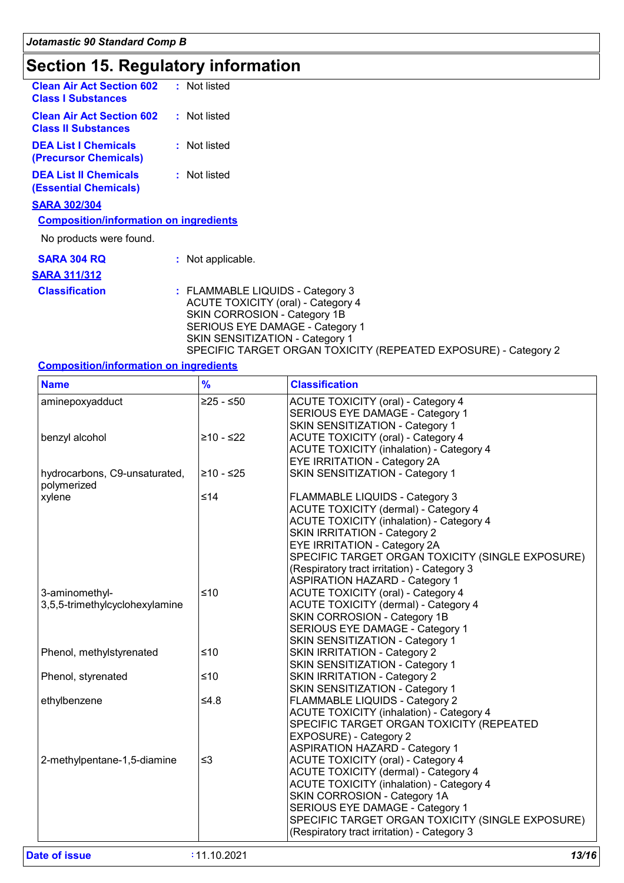### **Section 15. Regulatory information**

### **SARA 311/312**

**Classification :** FLAMMABLE LIQUIDS - Category 3

ACUTE TOXICITY (oral) - Category 4 SKIN CORROSION - Category 1B SERIOUS EYE DAMAGE - Category 1 SKIN SENSITIZATION - Category 1 SPECIFIC TARGET ORGAN TOXICITY (REPEATED EXPOSURE) - Category 2

#### **Composition/information on ingredients**

| <b>Name</b>                                  | $\frac{9}{6}$ | <b>Classification</b>                            |
|----------------------------------------------|---------------|--------------------------------------------------|
| aminepoxyadduct                              | $≥25 - ≤50$   | <b>ACUTE TOXICITY (oral) - Category 4</b>        |
|                                              |               | SERIOUS EYE DAMAGE - Category 1                  |
|                                              |               | SKIN SENSITIZATION - Category 1                  |
| benzyl alcohol                               | $≥10 - ≤22$   | <b>ACUTE TOXICITY (oral) - Category 4</b>        |
|                                              |               | <b>ACUTE TOXICITY (inhalation) - Category 4</b>  |
|                                              |               | EYE IRRITATION - Category 2A                     |
| hydrocarbons, C9-unsaturated,<br>polymerized | $≥10 - ≤25$   | SKIN SENSITIZATION - Category 1                  |
| xylene                                       | $≤14$         | FLAMMABLE LIQUIDS - Category 3                   |
|                                              |               | ACUTE TOXICITY (dermal) - Category 4             |
|                                              |               | <b>ACUTE TOXICITY (inhalation) - Category 4</b>  |
|                                              |               | <b>SKIN IRRITATION - Category 2</b>              |
|                                              |               | <b>EYE IRRITATION - Category 2A</b>              |
|                                              |               | SPECIFIC TARGET ORGAN TOXICITY (SINGLE EXPOSURE) |
|                                              |               | (Respiratory tract irritation) - Category 3      |
|                                              |               | <b>ASPIRATION HAZARD - Category 1</b>            |
| 3-aminomethyl-                               | ≤10           | <b>ACUTE TOXICITY (oral) - Category 4</b>        |
| 3,5,5-trimethylcyclohexylamine               |               | <b>ACUTE TOXICITY (dermal) - Category 4</b>      |
|                                              |               | SKIN CORROSION - Category 1B                     |
|                                              |               | SERIOUS EYE DAMAGE - Category 1                  |
|                                              |               | SKIN SENSITIZATION - Category 1                  |
| Phenol, methylstyrenated                     | $≤10$         | <b>SKIN IRRITATION - Category 2</b>              |
|                                              |               | SKIN SENSITIZATION - Category 1                  |
| Phenol, styrenated                           | $≤10$         | <b>SKIN IRRITATION - Category 2</b>              |
|                                              |               | SKIN SENSITIZATION - Category 1                  |
| ethylbenzene                                 | $≤4.8$        | FLAMMABLE LIQUIDS - Category 2                   |
|                                              |               | <b>ACUTE TOXICITY (inhalation) - Category 4</b>  |
|                                              |               | SPECIFIC TARGET ORGAN TOXICITY (REPEATED         |
|                                              |               | EXPOSURE) - Category 2                           |
|                                              |               | <b>ASPIRATION HAZARD - Category 1</b>            |
| 2-methylpentane-1,5-diamine                  | $\leq$ 3      | <b>ACUTE TOXICITY (oral) - Category 4</b>        |
|                                              |               | <b>ACUTE TOXICITY (dermal) - Category 4</b>      |
|                                              |               | <b>ACUTE TOXICITY (inhalation) - Category 4</b>  |
|                                              |               | SKIN CORROSION - Category 1A                     |
|                                              |               | SERIOUS EYE DAMAGE - Category 1                  |
|                                              |               | SPECIFIC TARGET ORGAN TOXICITY (SINGLE EXPOSURE) |
|                                              |               | (Respiratory tract irritation) - Category 3      |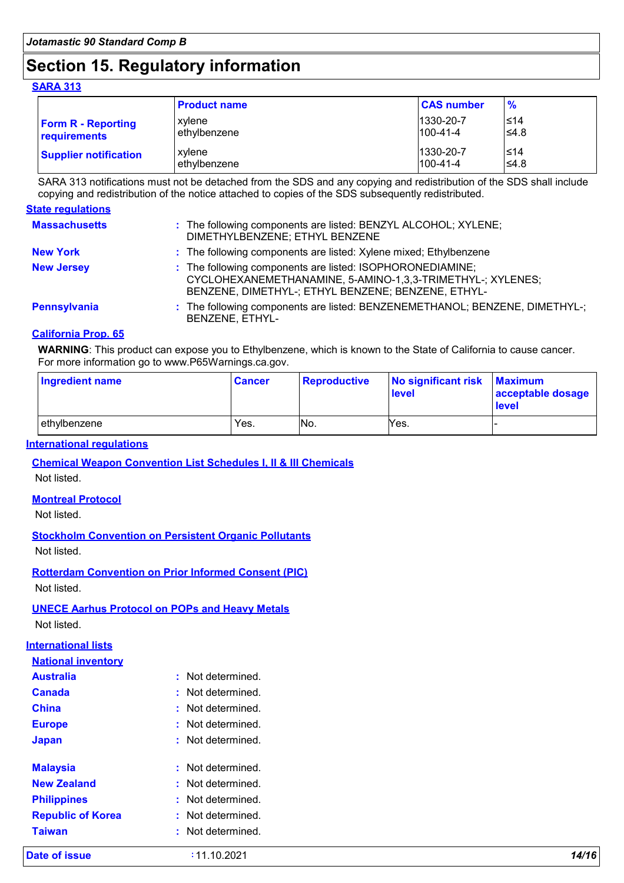### **Section 15. Regulatory information**

### **SARA 313**

|                              | <b>Product name</b> | <b>CAS number</b> | $\frac{9}{6}$ |
|------------------------------|---------------------|-------------------|---------------|
| <b>Form R - Reporting</b>    | xvlene              | 1330-20-7         | l≤14          |
| requirements                 | l ethvlbenzene      | $100 - 41 - 4$    | 54.8          |
| <b>Supplier notification</b> | xvlene              | 1330-20-7         | l≤14          |
|                              | l ethvlbenzene      | $100 - 41 - 4$    | 54.8          |

SARA 313 notifications must not be detached from the SDS and any copying and redistribution of the SDS shall include copying and redistribution of the notice attached to copies of the SDS subsequently redistributed.

#### **State regulations**

| <b>Massachusetts</b> | : The following components are listed: BENZYL ALCOHOL; XYLENE;<br>DIMETHYLBENZENE; ETHYL BENZENE                                                                              |
|----------------------|-------------------------------------------------------------------------------------------------------------------------------------------------------------------------------|
| <b>New York</b>      | : The following components are listed: Xylene mixed; Ethylbenzene                                                                                                             |
| <b>New Jersey</b>    | : The following components are listed: ISOPHORONEDIAMINE;<br>CYCLOHEXANEMETHANAMINE, 5-AMINO-1,3,3-TRIMETHYL-; XYLENES;<br>BENZENE, DIMETHYL-; ETHYL BENZENE; BENZENE, ETHYL- |
| <b>Pennsylvania</b>  | : The following components are listed: BENZENEMETHANOL; BENZENE, DIMETHYL-;<br><b>BENZENE, ETHYL-</b>                                                                         |

#### **California Prop. 65**

**WARNING**: This product can expose you to Ethylbenzene, which is known to the State of California to cause cancer. For more information go to www.P65Warnings.ca.gov.

| <b>Ingredient name</b> | <b>Cancer</b> | <b>Reproductive</b> | No significant risk<br>level | <b>Maximum</b><br>acceptable dosage<br><b>level</b> |
|------------------------|---------------|---------------------|------------------------------|-----------------------------------------------------|
| lethvlbenzene          | Yes.          | No.                 | Yes.                         |                                                     |

#### **International regulations**

**Chemical Weapon Convention List Schedules I, II & III Chemicals**

Not listed.

#### **Montreal Protocol**

Not listed.

### **Stockholm Convention on Persistent Organic Pollutants**

Not listed.

### **Rotterdam Convention on Prior Informed Consent (PIC)**

Not listed.

### **UNECE Aarhus Protocol on POPs and Heavy Metals**

Not listed.

#### **International lists**

| <b>National inventory</b> |                   |
|---------------------------|-------------------|
| <b>Australia</b>          | : Not determined  |
| Canada                    | Not determined    |
| <b>China</b>              | Not determined    |
| <b>Europe</b>             | Not determined    |
| <b>Japan</b>              | : Not determined  |
|                           |                   |
| <b>Malaysia</b>           | Not determined    |
| <b>New Zealand</b>        | : Not determined. |
| <b>Philippines</b>        | : Not determined. |
| <b>Republic of Korea</b>  | : Not determined  |
| <b>Taiwan</b>             | : Not determined  |
|                           |                   |

**Date of issue :** 11.10.2021 *14/16*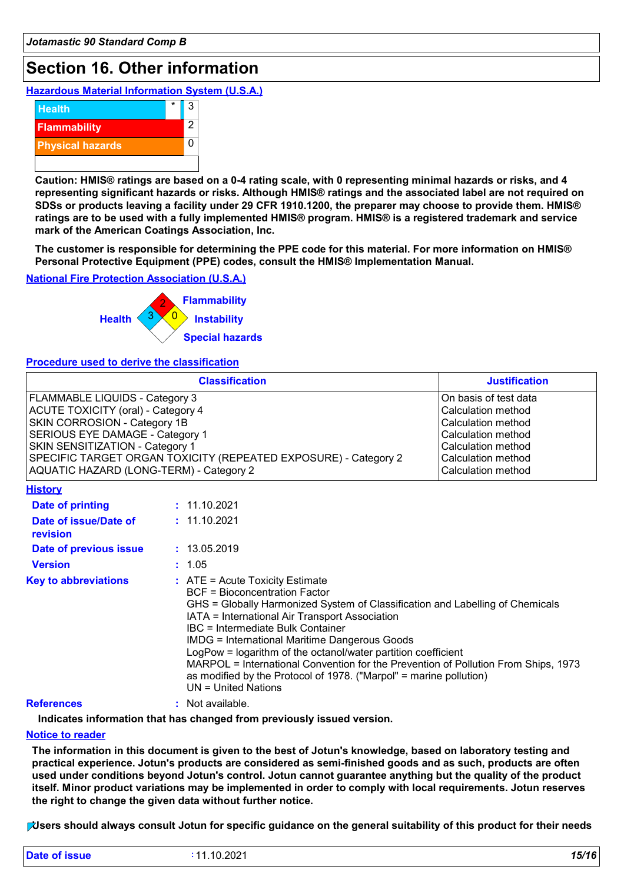### **Section 16. Other information**

**Hazardous Material Information System (U.S.A.)**



**Caution: HMIS® ratings are based on a 0-4 rating scale, with 0 representing minimal hazards or risks, and 4 representing significant hazards or risks. Although HMIS® ratings and the associated label are not required on SDSs or products leaving a facility under 29 CFR 1910.1200, the preparer may choose to provide them. HMIS® ratings are to be used with a fully implemented HMIS® program. HMIS® is a registered trademark and service mark of the American Coatings Association, Inc.**

**The customer is responsible for determining the PPE code for this material. For more information on HMIS® Personal Protective Equipment (PPE) codes, consult the HMIS® Implementation Manual.**

**National Fire Protection Association (U.S.A.)**



#### **Procedure used to derive the classification**

| <b>Classification</b>                                           | <b>Justification</b>      |
|-----------------------------------------------------------------|---------------------------|
| FLAMMABLE LIQUIDS - Category 3                                  | On basis of test data     |
| ACUTE TOXICITY (oral) - Category 4                              | Calculation method        |
| <b>SKIN CORROSION - Category 1B</b>                             | <b>Calculation method</b> |
| SERIOUS EYE DAMAGE - Category 1                                 | <b>Calculation method</b> |
| <b>SKIN SENSITIZATION - Category 1</b>                          | <b>Calculation method</b> |
| SPECIFIC TARGET ORGAN TOXICITY (REPEATED EXPOSURE) - Category 2 | <b>Calculation method</b> |
| AQUATIC HAZARD (LONG-TERM) - Category 2                         | Calculation method        |
| $1111 - 411 - 111$                                              |                           |

| <u> FIISLOI Y</u>                 |                                                                                                                                                                                                                                                                                                                                                                                                                                                                                                                                                                   |
|-----------------------------------|-------------------------------------------------------------------------------------------------------------------------------------------------------------------------------------------------------------------------------------------------------------------------------------------------------------------------------------------------------------------------------------------------------------------------------------------------------------------------------------------------------------------------------------------------------------------|
| Date of printing                  | : 11.10.2021                                                                                                                                                                                                                                                                                                                                                                                                                                                                                                                                                      |
| Date of issue/Date of<br>revision | : 11.10.2021                                                                                                                                                                                                                                                                                                                                                                                                                                                                                                                                                      |
| Date of previous issue            | : 13.05.2019                                                                                                                                                                                                                                                                                                                                                                                                                                                                                                                                                      |
| <b>Version</b>                    | : 1.05                                                                                                                                                                                                                                                                                                                                                                                                                                                                                                                                                            |
| <b>Key to abbreviations</b>       | $\therefore$ ATE = Acute Toxicity Estimate<br><b>BCF</b> = Bioconcentration Factor<br>GHS = Globally Harmonized System of Classification and Labelling of Chemicals<br>IATA = International Air Transport Association<br>IBC = Intermediate Bulk Container<br>IMDG = International Maritime Dangerous Goods<br>LogPow = logarithm of the octanol/water partition coefficient<br>MARPOL = International Convention for the Prevention of Pollution From Ships, 1973<br>as modified by the Protocol of 1978. ("Marpol" = marine pollution)<br>$UN = United Nations$ |
| <b>B.A.</b>                       |                                                                                                                                                                                                                                                                                                                                                                                                                                                                                                                                                                   |

#### **References :** Not available.

**Indicates information that has changed from previously issued version.**

#### **Notice to reader**

**The information in this document is given to the best of Jotun's knowledge, based on laboratory testing and practical experience. Jotun's products are considered as semi-finished goods and as such, products are often used under conditions beyond Jotun's control. Jotun cannot guarantee anything but the quality of the product itself. Minor product variations may be implemented in order to comply with local requirements. Jotun reserves the right to change the given data without further notice.**

**Users should always consult Jotun for specific guidance on the general suitability of this product for their needs**